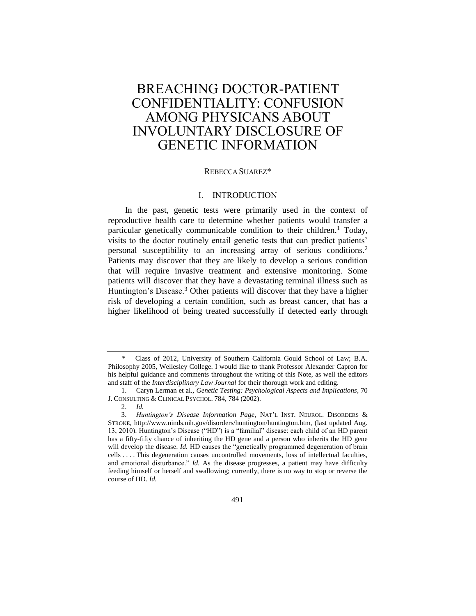# BREACHING DOCTOR-PATIENT CONFIDENTIALITY: CONFUSION AMONG PHYSICANS ABOUT INVOLUNTARY DISCLOSURE OF GENETIC INFORMATION

#### REBECCA SUAREZ\*

## <span id="page-0-0"></span>I. INTRODUCTION

In the past, genetic tests were primarily used in the context of reproductive health care to determine whether patients would transfer a particular genetically communicable condition to their children.<sup>1</sup> Today, visits to the doctor routinely entail genetic tests that can predict patients' personal susceptibility to an increasing array of serious conditions.<sup>2</sup> Patients may discover that they are likely to develop a serious condition that will require invasive treatment and extensive monitoring. Some patients will discover that they have a devastating terminal illness such as Huntington's Disease.<sup>3</sup> Other patients will discover that they have a higher risk of developing a certain condition, such as breast cancer, that has a higher likelihood of being treated successfully if detected early through

<sup>\*</sup> Class of 2012, University of Southern California Gould School of Law; B.A. Philosophy 2005, Wellesley College. I would like to thank Professor Alexander Capron for his helpful guidance and comments throughout the writing of this Note, as well the editors and staff of the *Interdisciplinary Law Journal* for their thorough work and editing.

<sup>1.</sup> Caryn Lerman et al., *Genetic Testing: Psychological Aspects and Implications*, 70 J. CONSULTING & CLINICAL PSYCHOL. 784, 784 (2002).

<sup>2.</sup> *Id.*

<sup>3.</sup> *Huntington's Disease Information Page*, NAT'L INST. NEUROL. DISORDERS & STROKE, http://www.ninds.nih.gov/disorders/huntington/huntington.htm, (last updated Aug. 13, 2010). Huntington's Disease ("HD") is a "familial" disease: each child of an HD parent has a fifty-fifty chance of inheriting the HD gene and a person who inherits the HD gene will develop the disease. *Id*. HD causes the "genetically programmed degeneration of brain cells . . . . This degeneration causes uncontrolled movements, loss of intellectual faculties, and emotional disturbance." *Id.* As the disease progresses, a patient may have difficulty feeding himself or herself and swallowing; currently, there is no way to stop or reverse the course of HD. *Id.*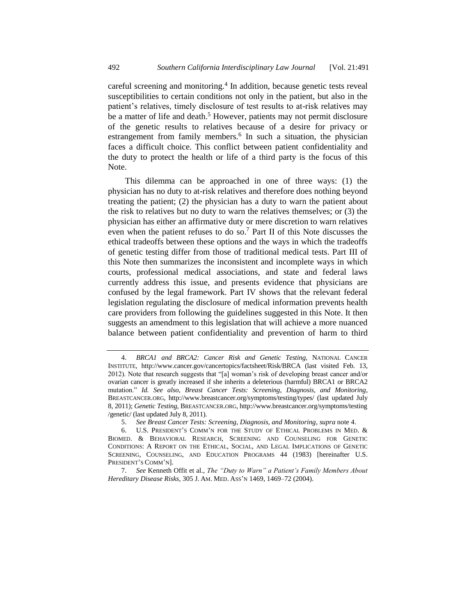<span id="page-1-0"></span>careful screening and monitoring.<sup>4</sup> In addition, because genetic tests reveal susceptibilities to certain conditions not only in the patient, but also in the patient's relatives, timely disclosure of test results to at-risk relatives may be a matter of life and death.<sup>5</sup> However, patients may not permit disclosure of the genetic results to relatives because of a desire for privacy or estrangement from family members.<sup>6</sup> In such a situation, the physician faces a difficult choice. This conflict between patient confidentiality and the duty to protect the health or life of a third party is the focus of this Note.

<span id="page-1-2"></span><span id="page-1-1"></span>This dilemma can be approached in one of three ways: (1) the physician has no duty to at-risk relatives and therefore does nothing beyond treating the patient; (2) the physician has a duty to warn the patient about the risk to relatives but no duty to warn the relatives themselves; or (3) the physician has either an affirmative duty or mere discretion to warn relatives even when the patient refuses to do so.<sup>7</sup> Part II of this Note discusses the ethical tradeoffs between these options and the ways in which the tradeoffs of genetic testing differ from those of traditional medical tests. Part III of this Note then summarizes the inconsistent and incomplete ways in which courts, professional medical associations, and state and federal laws currently address this issue, and presents evidence that physicians are confused by the legal framework. Part IV shows that the relevant federal legislation regulating the disclosure of medical information prevents health care providers from following the guidelines suggested in this Note. It then suggests an amendment to this legislation that will achieve a more nuanced balance between patient confidentiality and prevention of harm to third

<sup>4.</sup> *BRCA1 and BRCA2: Cancer Risk and Genetic Testing,* NATIONAL CANCER INSTITUTE, http://www.cancer.gov/cancertopics/factsheet/Risk/BRCA (last visited Feb. 13, 2012). Note that research suggests that "[a] woman's risk of developing breast cancer and/or ovarian cancer is greatly increased if she inherits a deleterious (harmful) BRCA1 or BRCA2 mutation." *Id. See also, Breast Cancer Tests: Screening, Diagnosis, and Monitoring*, BREASTCANCER.ORG, http://www.breastcancer.org/symptoms/testing/types/ (last updated July 8, 2011); *Genetic Testing*, BREASTCANCER.ORG, http://www.breastcancer.org/symptoms/testing /genetic/ (last updated July 8, 2011).

<sup>5.</sup> *See Breast Cancer Tests: Screening, Diagnosis, and Monitoring*, *supra* not[e 4.](#page-1-0)

<sup>6.</sup> U.S. PRESIDENT'S COMM'N FOR THE STUDY OF ETHICAL PROBLEMS IN MED. & BIOMED. & BEHAVIORAL RESEARCH, SCREENING AND COUNSELING FOR GENETIC CONDITIONS: A REPORT ON THE ETHICAL, SOCIAL, AND LEGAL IMPLICATIONS OF GENETIC SCREENING, COUNSELING, AND EDUCATION PROGRAMS 44 (1983) [hereinafter U.S. PRESIDENT'S COMM'N].

<sup>7.</sup> *See* Kenneth Offit et al., *The "Duty to Warn" a Patient's Family Members About Hereditary Disease Risks*, 305 J. AM. MED. ASS'N 1469, 1469–72 (2004).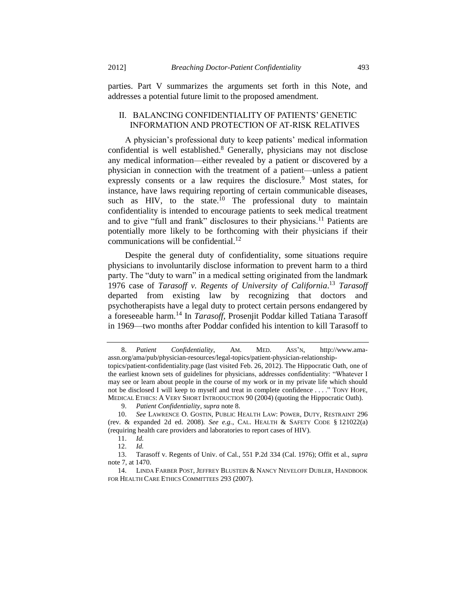parties. Part V summarizes the arguments set forth in this Note, and addresses a potential future limit to the proposed amendment.

# <span id="page-2-0"></span>II. BALANCING CONFIDENTIALITY OF PATIENTS' GENETIC INFORMATION AND PROTECTION OF AT-RISK RELATIVES

A physician's professional duty to keep patients' medical information confidential is well established.<sup>8</sup> Generally, physicians may not disclose any medical information—either revealed by a patient or discovered by a physician in connection with the treatment of a patient—unless a patient expressly consents or a law requires the disclosure.<sup>9</sup> Most states, for instance, have laws requiring reporting of certain communicable diseases, such as HIV, to the state.<sup>10</sup> The professional duty to maintain confidentiality is intended to encourage patients to seek medical treatment and to give "full and frank" disclosures to their physicians.<sup>11</sup> Patients are potentially more likely to be forthcoming with their physicians if their communications will be confidential.<sup>12</sup>

<span id="page-2-2"></span>Despite the general duty of confidentiality, some situations require physicians to involuntarily disclose information to prevent harm to a third party. The "duty to warn" in a medical setting originated from the landmark 1976 case of *Tarasoff v. Regents of University of California*. <sup>13</sup> *Tarasoff* departed from existing law by recognizing that doctors and psychotherapists have a legal duty to protect certain persons endangered by a foreseeable harm.<sup>14</sup> In *Tarasoff*, Prosenjit Poddar killed Tatiana Tarasoff in 1969—two months after Poddar confided his intention to kill Tarasoff to

<span id="page-2-1"></span><sup>8.</sup> *Patient Confidentiality*, AM. MED. ASS'N, http://www.amaassn.org/ama/pub/physician-resources/legal-topics/patient-physician-relationshiptopics/patient-confidentiality.page (last visited Feb. 26, 2012). The Hippocratic Oath, one of the earliest known sets of guidelines for physicians, addresses confidentiality: "Whatever I may see or learn about people in the course of my work or in my private life which should not be disclosed I will keep to myself and treat in complete confidence . . . ." TONY HOPE, MEDICAL ETHICS: A VERY SHORT INTRODUCTION 90 (2004) (quoting the Hippocratic Oath).

<sup>9.</sup> *Patient Confidentiality*, *supra* not[e 8.](#page-2-0)

<sup>10.</sup> *See* LAWRENCE O. GOSTIN, PUBLIC HEALTH LAW: POWER, DUTY, RESTRAINT 296 (rev. & expanded 2d ed. 2008). *See e.g.*, CAL. HEALTH & SAFETY CODE § 121022(a) (requiring health care providers and laboratories to report cases of HIV).

<sup>11.</sup> *Id.*

<sup>12.</sup> *Id.*

<sup>13.</sup> Tarasoff v. Regents of Univ. of Cal., 551 P.2d 334 (Cal. 1976); Offit et al., *supra*  not[e 7,](#page-1-1) at 1470.

<sup>14.</sup> LINDA FARBER POST, JEFFREY BLUSTEIN & NANCY NEVELOFF DUBLER, HANDBOOK FOR HEALTH CARE ETHICS COMMITTEES 293 (2007).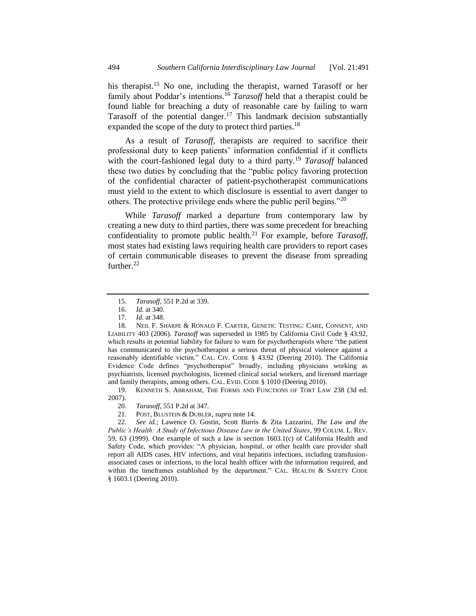his therapist.<sup>15</sup> No one, including the therapist, warned Tarasoff or her family about Poddar's intentions.<sup>16</sup> *Tarasoff* held that a therapist could be found liable for breaching a duty of reasonable care by failing to warn Tarasoff of the potential danger.<sup>17</sup> This landmark decision substantially expanded the scope of the duty to protect third parties.<sup>18</sup>

<span id="page-3-0"></span>As a result of *Tarasoff*, therapists are required to sacrifice their professional duty to keep patients' information confidential if it conflicts with the court-fashioned legal duty to a third party.<sup>19</sup> *Tarasoff* balanced these two duties by concluding that the "public policy favoring protection of the confidential character of patient-psychotherapist communications must yield to the extent to which disclosure is essential to avert danger to others. The protective privilege ends where the public peril begins."<sup>20</sup>

While *Tarasoff* marked a departure from contemporary law by creating a new duty to third parties, there was some precedent for breaching confidentiality to promote public health.<sup>21</sup> For example, before *Tarasoff*, most states had existing laws requiring health care providers to report cases of certain communicable diseases to prevent the disease from spreading further.<sup>22</sup>

19. KENNETH S. ABRAHAM, THE FORMS AND FUNCTIONS OF TORT LAW 238 (3d ed. 2007).

- 20. *Tarasoff*, 551 P.2d at 347.
- 21. POST, BLUSTEIN & DUBLER, *supra* not[e 14.](#page-2-1)

22. *See id.*; Lawence O. Gostin, Scott Burris & Zita Lazzarini, *The Law and the Public's Health: A Study of Infectious Disease Law in the United States*, 99 COLUM. L. REV. 59, 63 (1999). One example of such a law is section 1603.1(c) of California Health and Safety Code, which provides: "A physician, hospital, or other health care provider shall report all AIDS cases, HIV infections, and viral hepatitis infections, including transfusionassociated cases or infections, to the local health officer with the information required, and within the timeframes established by the department." CAL. HEALTH & SAFETY CODE § 1603.1 (Deering 2010).

<sup>15.</sup> *Tarasoff*, 551 P.2d at 339.

<sup>16.</sup> *Id.* at 340.

<sup>17.</sup> *Id.* at 348.

<sup>18.</sup> NEIL F. SHARPE & RONALD F. CARTER, GENETIC TESTING: CARE, CONSENT, AND LIABILITY 403 (2006). *Tarasoff* was superseded in 1985 by California Civil Code § 43.92, which results in potential liability for failure to warn for psychotherapists where "the patient has communicated to the psychotherapist a serious threat of physical violence against a reasonably identifiable victim." CAL. CIV. CODE § 43.92 (Deering 2010). The California Evidence Code defines "psychotherapist" broadly, including physicians working as psychiatrists, licensed psychologists, licensed clinical social workers, and licensed marriage and family therapists, among others. CAL. EVID. CODE § 1010 (Deering 2010).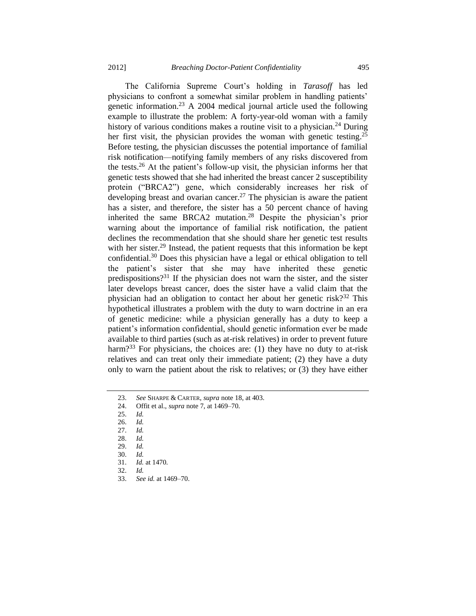The California Supreme Court's holding in *Tarasoff* has led physicians to confront a somewhat similar problem in handling patients' genetic information.<sup>23</sup> A 2004 medical journal article used the following example to illustrate the problem: A forty-year-old woman with a family history of various conditions makes a routine visit to a physician.<sup>24</sup> During her first visit, the physician provides the woman with genetic testing.<sup>25</sup> Before testing, the physician discusses the potential importance of familial risk notification—notifying family members of any risks discovered from the tests.<sup>26</sup> At the patient's follow-up visit, the physician informs her that genetic tests showed that she had inherited the breast cancer 2 susceptibility protein ("BRCA2") gene, which considerably increases her risk of developing breast and ovarian cancer.<sup>27</sup> The physician is aware the patient has a sister, and therefore, the sister has a 50 percent chance of having inherited the same BRCA2 mutation.<sup>28</sup> Despite the physician's prior warning about the importance of familial risk notification, the patient declines the recommendation that she should share her genetic test results with her sister.<sup>29</sup> Instead, the patient requests that this information be kept confidential.<sup>30</sup> Does this physician have a legal or ethical obligation to tell the patient's sister that she may have inherited these genetic predispositions?<sup>31</sup> If the physician does not warn the sister, and the sister later develops breast cancer, does the sister have a valid claim that the physician had an obligation to contact her about her genetic risk? $32$  This hypothetical illustrates a problem with the duty to warn doctrine in an era of genetic medicine: while a physician generally has a duty to keep a patient's information confidential, should genetic information ever be made available to third parties (such as at-risk relatives) in order to prevent future harm?<sup>33</sup> For physicians, the choices are: (1) they have no duty to at-risk relatives and can treat only their immediate patient; (2) they have a duty only to warn the patient about the risk to relatives; or (3) they have either

25. *Id.* 

26. *Id.*

27. *Id.*

28. *Id.*

29. *Id.*

30. *Id.*

31. *Id.* at 1470.

32. *Id.*

33. *See id.* at 1469–70.

<sup>23.</sup> *See* SHARPE & CARTER, *supra* not[e 18,](#page-3-0) at 403.

<sup>24.</sup> Offit et al., *supra* not[e 7,](#page-1-1) at 1469–70.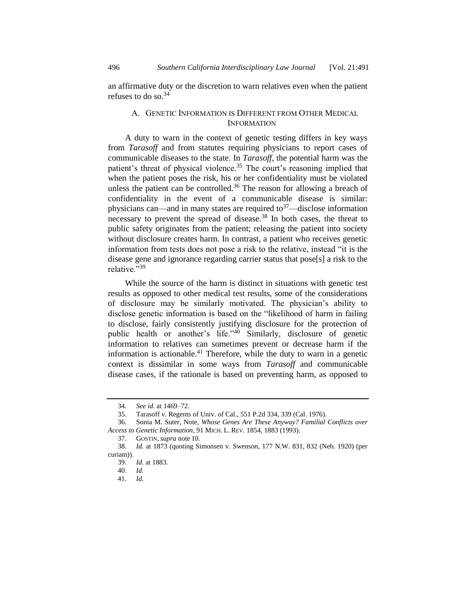an affirmative duty or the discretion to warn relatives even when the patient refuses to do so.  $34$ 

# A. GENETIC INFORMATION IS DIFFERENT FROM OTHER MEDICAL INFORMATION

A duty to warn in the context of genetic testing differs in key ways from *Tarasoff* and from statutes requiring physicians to report cases of communicable diseases to the state. In *Tarasoff*, the potential harm was the patient's threat of physical violence.<sup>35</sup> The court's reasoning implied that when the patient poses the risk, his or her confidentiality must be violated unless the patient can be controlled.<sup>36</sup> The reason for allowing a breach of confidentiality in the event of a communicable disease is similar: physicians can—and in many states are required to<sup>37</sup>—disclose information necessary to prevent the spread of disease.<sup>38</sup> In both cases, the threat to public safety originates from the patient; releasing the patient into society without disclosure creates harm. In contrast, a patient who receives genetic information from tests does not pose a risk to the relative, instead "it is the disease gene and ignorance regarding carrier status that pose[s] a risk to the relative."<sup>39</sup>

While the source of the harm is distinct in situations with genetic test results as opposed to other medical test results, some of the considerations of disclosure may be similarly motivated. The physician's ability to disclose genetic information is based on the "likelihood of harm in failing to disclose, fairly consistently justifying disclosure for the protection of public health or another's life."<sup>40</sup> Similarly, disclosure of genetic information to relatives can sometimes prevent or decrease harm if the information is actionable.<sup>41</sup> Therefore, while the duty to warn in a genetic context is dissimilar in some ways from *Tarasoff* and communicable disease cases, if the rationale is based on preventing harm, as opposed to

<sup>34.</sup> *See id.* at 1469–72.

<sup>35.</sup> Tarasoff v. Regents of Univ. of Cal., 551 P.2d 334, 339 (Cal. 1976).

<sup>36.</sup> Sonia M. Suter, Note, *Whose Genes Are These Anyway? Familial Conflicts over Access to Genetic Information*, 91 MICH. L. REV. 1854, 1883 (1993).

<sup>37.</sup> GOSTIN*, supra* note [10.](#page-2-2)

<sup>38.</sup> *Id.* at 1873 (quoting Simonsen v. Swenson, 177 N.W. 831, 832 (Neb. 1920) (per curiam)).

<sup>39.</sup> *Id.* at 1883.

<sup>40.</sup> *Id.*

<sup>41.</sup> *Id.*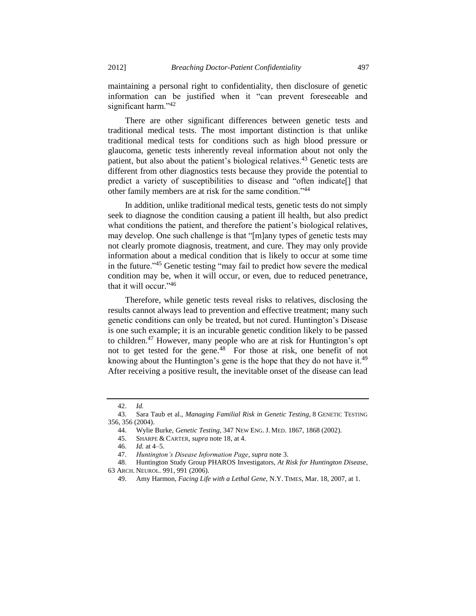maintaining a personal right to confidentiality, then disclosure of genetic information can be justified when it "can prevent foreseeable and significant harm."<sup>42</sup>

There are other significant differences between genetic tests and traditional medical tests. The most important distinction is that unlike traditional medical tests for conditions such as high blood pressure or glaucoma, genetic tests inherently reveal information about not only the patient, but also about the patient's biological relatives.<sup>43</sup> Genetic tests are different from other diagnostics tests because they provide the potential to predict a variety of susceptibilities to disease and "often indicate[] that other family members are at risk for the same condition."<sup>44</sup>

In addition, unlike traditional medical tests, genetic tests do not simply seek to diagnose the condition causing a patient ill health, but also predict what conditions the patient, and therefore the patient's biological relatives, may develop. One such challenge is that "[m]any types of genetic tests may not clearly promote diagnosis, treatment, and cure. They may only provide information about a medical condition that is likely to occur at some time in the future."<sup>45</sup> Genetic testing "may fail to predict how severe the medical condition may be, when it will occur, or even, due to reduced penetrance, that it will occur."<sup>46</sup>

Therefore, while genetic tests reveal risks to relatives, disclosing the results cannot always lead to prevention and effective treatment; many such genetic conditions can only be treated, but not cured. Huntington's Disease is one such example; it is an incurable genetic condition likely to be passed to children.<sup>47</sup> However, many people who are at risk for Huntington's opt not to get tested for the gene.<sup>48</sup> For those at risk, one benefit of not knowing about the Huntington's gene is the hope that they do not have it.<sup>49</sup> After receiving a positive result, the inevitable onset of the disease can lead

<sup>42.</sup> *Id.*

<sup>43.</sup> Sara Taub et al., *Managing Familial Risk in Genetic Testing*, 8 GENETIC TESTING 356, 356 (2004).

<sup>44.</sup> Wylie Burke, *Genetic Testing*, 347 NEW ENG. J. MED. 1867, 1868 (2002).

<sup>45.</sup> SHARPE & CARTER, *supra* not[e 18,](#page-3-0) at 4.

<sup>46.</sup> *Id.* at 4–5.

<sup>47.</sup> *Huntington's Disease Information Page*, *supra* not[e 3.](#page-0-0)

<sup>48.</sup> Huntington Study Group PHAROS Investigators, *At Risk for Huntington Disease*, 63 ARCH. NEUROL. 991, 991 (2006).

<sup>49.</sup> Amy Harmon, *Facing Life with a Lethal Gene,* N.Y. TIMES, Mar. 18, 2007, at 1.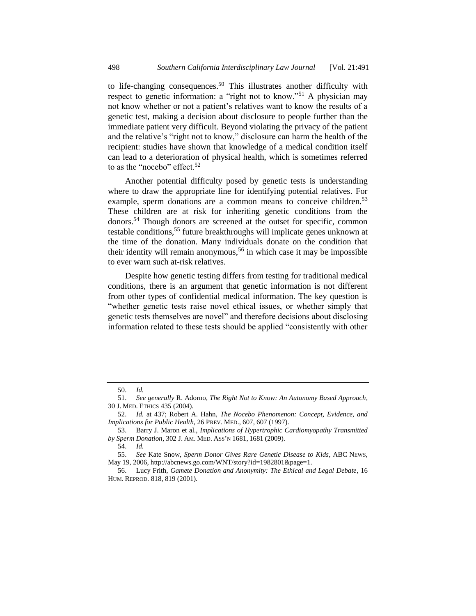to life-changing consequences.<sup>50</sup> This illustrates another difficulty with respect to genetic information: a "right not to know."<sup>51</sup> A physician may not know whether or not a patient's relatives want to know the results of a genetic test, making a decision about disclosure to people further than the immediate patient very difficult. Beyond violating the privacy of the patient and the relative's "right not to know," disclosure can harm the health of the recipient: studies have shown that knowledge of a medical condition itself can lead to a deterioration of physical health, which is sometimes referred to as the "nocebo" effect.<sup>52</sup>

Another potential difficulty posed by genetic tests is understanding where to draw the appropriate line for identifying potential relatives. For example, sperm donations are a common means to conceive children.<sup>53</sup> These children are at risk for inheriting genetic conditions from the donors.<sup>54</sup> Though donors are screened at the outset for specific, common testable conditions,<sup>55</sup> future breakthroughs will implicate genes unknown at the time of the donation. Many individuals donate on the condition that their identity will remain anonymous,<sup>56</sup> in which case it may be impossible to ever warn such at-risk relatives.

Despite how genetic testing differs from testing for traditional medical conditions, there is an argument that genetic information is not different from other types of confidential medical information. The key question is "whether genetic tests raise novel ethical issues, or whether simply that genetic tests themselves are novel" and therefore decisions about disclosing information related to these tests should be applied "consistently with other

<span id="page-7-0"></span>

<sup>50.</sup> *Id.*

<sup>51.</sup> *See generally* R. Adorno, *The Right Not to Know: An Autonomy Based Approach*, 30 J. MED. ETHICS 435 (2004).

<sup>52.</sup> *Id.* at 437; Robert A. Hahn, *The Nocebo Phenomenon: Concept, Evidence, and Implications for Public Health*, 26 PREV. MED., 607, 607 (1997).

<sup>53.</sup> Barry J. Maron et al., *Implications of Hypertrophic Cardiomyopathy Transmitted by Sperm Donation*, 302 J. AM. MED. ASS'N 1681, 1681 (2009).

<sup>54.</sup> *Id.*

<sup>55.</sup> *See* Kate Snow, *Sperm Donor Gives Rare Genetic Disease to Kids*, ABC NEWS, May 19, 2006, http://abcnews.go.com/WNT/story?id=1982801&page=1.

<sup>56.</sup> Lucy Frith, *Gamete Donation and Anonymity: The Ethical and Legal Debate*, 16 HUM. REPROD. 818, 819 (2001).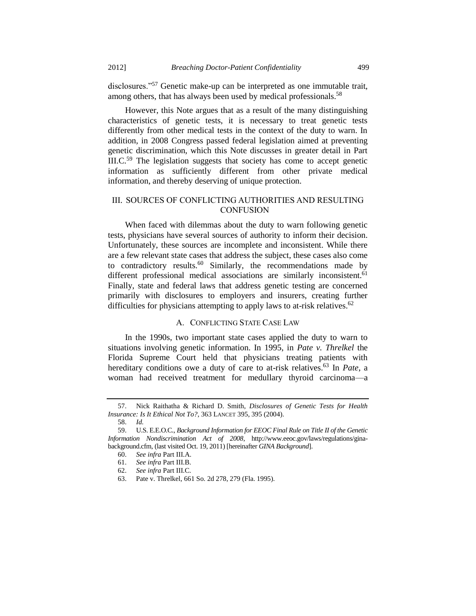disclosures."<sup>57</sup> Genetic make-up can be interpreted as one immutable trait, among others, that has always been used by medical professionals.<sup>58</sup>

However, this Note argues that as a result of the many distinguishing characteristics of genetic tests, it is necessary to treat genetic tests differently from other medical tests in the context of the duty to warn. In addition, in 2008 Congress passed federal legislation aimed at preventing genetic discrimination, which this Note discusses in greater detail in Part III.C.<sup>59</sup> The legislation suggests that society has come to accept genetic information as sufficiently different from other private medical information, and thereby deserving of unique protection.

# <span id="page-8-0"></span>III. SOURCES OF CONFLICTING AUTHORITIES AND RESULTING **CONFUSION**

When faced with dilemmas about the duty to warn following genetic tests, physicians have several sources of authority to inform their decision. Unfortunately, these sources are incomplete and inconsistent. While there are a few relevant state cases that address the subject, these cases also come to contradictory results.<sup>60</sup> Similarly, the recommendations made by different professional medical associations are similarly inconsistent.<sup>61</sup> Finally, state and federal laws that address genetic testing are concerned primarily with disclosures to employers and insurers, creating further difficulties for physicians attempting to apply laws to at-risk relatives.<sup>62</sup>

## A. CONFLICTING STATE CASE LAW

In the 1990s, two important state cases applied the duty to warn to situations involving genetic information. In 1995, in *Pate v. Threlkel* the Florida Supreme Court held that physicians treating patients with hereditary conditions owe a duty of care to at-risk relatives.<sup>63</sup> In *Pate*, a woman had received treatment for medullary thyroid carcinoma—a

<sup>57.</sup> Nick Raithatha & Richard D. Smith, *Disclosures of Genetic Tests for Health Insurance: Is It Ethical Not To?*, 363 LANCET 395, 395 (2004).

<sup>58.</sup> *Id.*

<sup>59.</sup> U.S. E.E.O.C., *Background Information for EEOC Final Rule on Title II of the Genetic Information Nondiscrimination Act of 2008*, http://www.eeoc.gov/laws/regulations/ginabackground.cfm, (last visited Oct. 19, 2011) [hereinafter *GINA Background*].

<sup>60.</sup> *See infra* Part III.A.

<sup>61.</sup> *See infra* Part III.B.

<sup>62.</sup> *See infra* Part III.C.

<sup>63.</sup> Pate v. Threlkel, 661 So. 2d 278, 279 (Fla. 1995).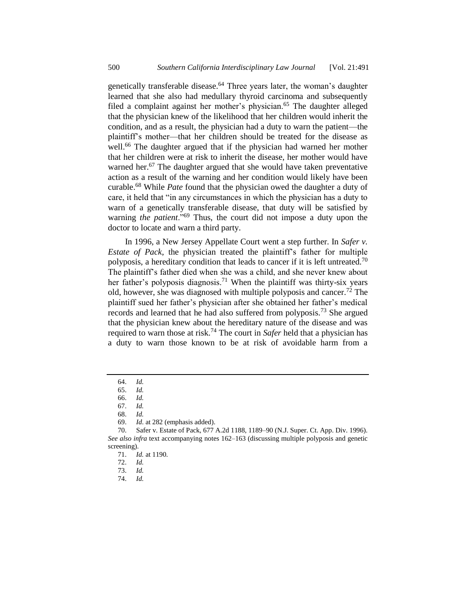genetically transferable disease.<sup>64</sup> Three years later, the woman's daughter learned that she also had medullary thyroid carcinoma and subsequently filed a complaint against her mother's physician.<sup>65</sup> The daughter alleged that the physician knew of the likelihood that her children would inherit the condition, and as a result, the physician had a duty to warn the patient—the plaintiff's mother—that her children should be treated for the disease as well.<sup>66</sup> The daughter argued that if the physician had warned her mother that her children were at risk to inherit the disease, her mother would have warned her.<sup>67</sup> The daughter argued that she would have taken preventative action as a result of the warning and her condition would likely have been curable.<sup>68</sup> While *Pate* found that the physician owed the daughter a duty of care, it held that "in any circumstances in which the physician has a duty to warn of a genetically transferable disease, that duty will be satisfied by warning *the patient*."<sup>69</sup> Thus, the court did not impose a duty upon the doctor to locate and warn a third party.

In 1996, a New Jersey Appellate Court went a step further. In *Safer v. Estate of Pack*, the physician treated the plaintiff's father for multiple polyposis, a hereditary condition that leads to cancer if it is left untreated.<sup>70</sup> The plaintiff's father died when she was a child, and she never knew about her father's polyposis diagnosis.<sup>71</sup> When the plaintiff was thirty-six years old, however, she was diagnosed with multiple polyposis and cancer.<sup>72</sup> The plaintiff sued her father's physician after she obtained her father's medical records and learned that he had also suffered from polyposis.<sup>73</sup> She argued that the physician knew about the hereditary nature of the disease and was required to warn those at risk.<sup>74</sup> The court in *Safer* held that a physician has a duty to warn those known to be at risk of avoidable harm from a

74. *Id.*

<sup>64.</sup> *Id.* 

<sup>65.</sup> *Id.*

<sup>66.</sup> *Id.*

<sup>67.</sup> *Id.*

<sup>68.</sup> *Id.*

<sup>69.</sup> *Id*. at 282 (emphasis added).

<sup>70.</sup> Safer v. Estate of Pack, 677 A.2d 1188, 1189–90 (N.J. Super. Ct. App. Div. 1996). *See also infra* text accompanying notes [162](#page-22-0)[–163](#page-23-0) (discussing multiple polyposis and genetic screening).

<sup>71.</sup> *Id.* at 1190.

<sup>72.</sup> *Id.*

<sup>73.</sup> *Id.*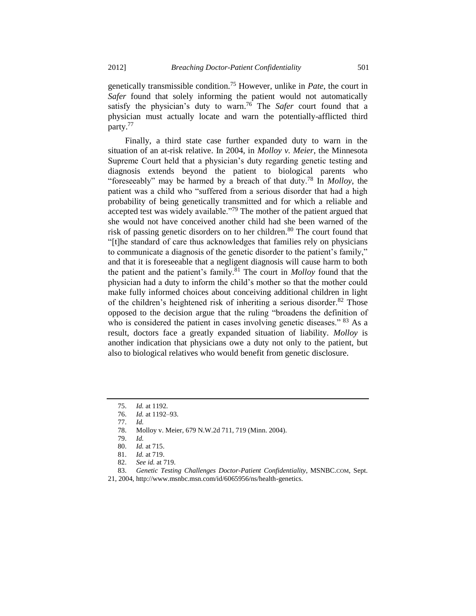genetically transmissible condition.<sup>75</sup> However, unlike in *Pate*, the court in *Safer* found that solely informing the patient would not automatically satisfy the physician's duty to warn. <sup>76</sup> The *Safer* court found that a physician must actually locate and warn the potentially-afflicted third party.<sup>77</sup>

Finally, a third state case further expanded duty to warn in the situation of an at-risk relative. In 2004, in *Molloy v. Meier*, the Minnesota Supreme Court held that a physician's duty regarding genetic testing and diagnosis extends beyond the patient to biological parents who "foreseeably" may be harmed by a breach of that duty.<sup>78</sup> In *Molloy*, the patient was a child who "suffered from a serious disorder that had a high probability of being genetically transmitted and for which a reliable and accepted test was widely available."<sup>79</sup> The mother of the patient argued that she would not have conceived another child had she been warned of the risk of passing genetic disorders on to her children.<sup>80</sup> The court found that "[t]he standard of care thus acknowledges that families rely on physicians to communicate a diagnosis of the genetic disorder to the patient's family," and that it is foreseeable that a negligent diagnosis will cause harm to both the patient and the patient's family.<sup>81</sup> The court in *Molloy* found that the physician had a duty to inform the child's mother so that the mother could make fully informed choices about conceiving additional children in light of the children's heightened risk of inheriting a serious disorder.<sup>82</sup> Those opposed to the decision argue that the ruling "broadens the definition of who is considered the patient in cases involving genetic diseases." <sup>83</sup> As a result, doctors face a greatly expanded situation of liability. *Molloy* is another indication that physicians owe a duty not only to the patient, but also to biological relatives who would benefit from genetic disclosure.

- 77. *Id.*
- 78. Molloy v. Meier, 679 N.W.2d 711, 719 (Minn. 2004).

80. *Id.* at 715.

<span id="page-10-0"></span><sup>75.</sup> *Id.* at 1192.

<sup>76.</sup> *Id.* at 1192–93.

<sup>79.</sup> *Id.* 

<sup>81.</sup> *Id.* at 719.

<sup>82.</sup> *See id.* at 719.

<sup>83.</sup> *Genetic Testing Challenges Doctor-Patient Confidentiality*, MSNBC.COM, Sept.

<sup>21, 2004,</sup> http://www.msnbc.msn.com/id/6065956/ns/health-genetics.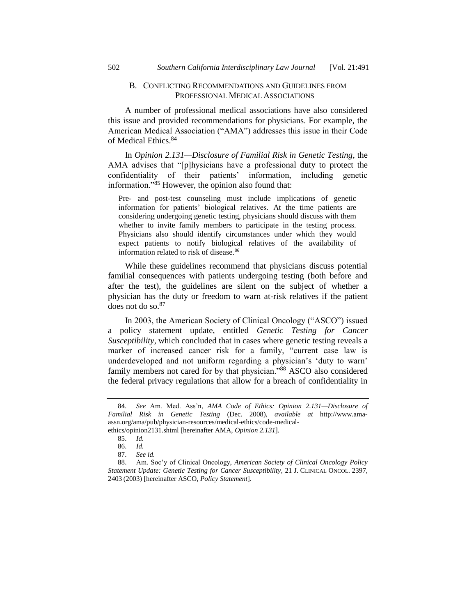## B. CONFLICTING RECOMMENDATIONS AND GUIDELINES FROM PROFESSIONAL MEDICAL ASSOCIATIONS

A number of professional medical associations have also considered this issue and provided recommendations for physicians. For example, the American Medical Association ("AMA") addresses this issue in their Code of Medical Ethics.<sup>84</sup>

<span id="page-11-1"></span>In *Opinion 2.131—Disclosure of Familial Risk in Genetic Testing*, the AMA advises that "[p]hysicians have a professional duty to protect the confidentiality of their patients' information, including genetic information."<sup>85</sup> However, the opinion also found that:

Pre- and post-test counseling must include implications of genetic information for patients' biological relatives. At the time patients are considering undergoing genetic testing, physicians should discuss with them whether to invite family members to participate in the testing process. Physicians also should identify circumstances under which they would expect patients to notify biological relatives of the availability of information related to risk of disease.<sup>86</sup>

While these guidelines recommend that physicians discuss potential familial consequences with patients undergoing testing (both before and after the test), the guidelines are silent on the subject of whether a physician has the duty or freedom to warn at-risk relatives if the patient does not do so.<sup>87</sup>

In 2003, the American Society of Clinical Oncology ("ASCO") issued a policy statement update, entitled *Genetic Testing for Cancer Susceptibility*, which concluded that in cases where genetic testing reveals a marker of increased cancer risk for a family, "current case law is underdeveloped and not uniform regarding a physician's 'duty to warn' family members not cared for by that physician."<sup>88</sup> ASCO also considered the federal privacy regulations that allow for a breach of confidentiality in

ethics/opinion2131.shtml [hereinafter AMA, *Opinion 2.131*]. 85. *Id.*

<span id="page-11-0"></span><sup>84.</sup> *See* Am. Med. Ass'n, *AMA Code of Ethics: Opinion 2.131—Disclosure of Familial Risk in Genetic Testing* (Dec. 2008), *available at* http://www.amaassn.org/ama/pub/physician-resources/medical-ethics/code-medical-

<sup>86.</sup> *Id.*

<sup>87.</sup> *See id.*

<sup>88.</sup> Am. Soc'y of Clinical Oncology, *American Society of Clinical Oncology Policy Statement Update: Genetic Testing for Cancer Susceptibility*, 21 J. CLINICAL ONCOL. 2397, 2403 (2003) [hereinafter ASCO, *Policy Statement*].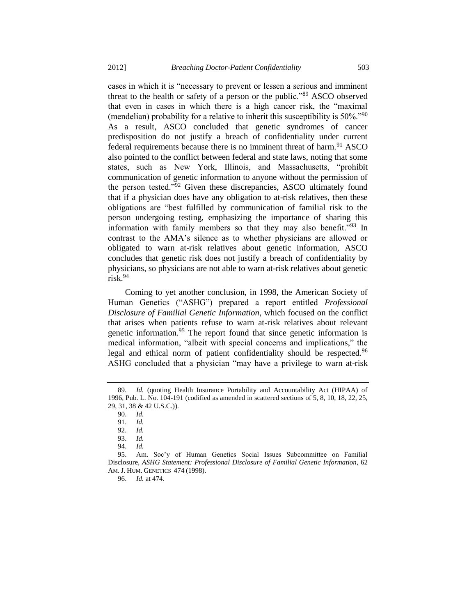cases in which it is "necessary to prevent or lessen a serious and imminent threat to the health or safety of a person or the public."<sup>89</sup> ASCO observed that even in cases in which there is a high cancer risk, the "maximal (mendelian) probability for a relative to inherit this susceptibility is 50%."<sup>90</sup> As a result, ASCO concluded that genetic syndromes of cancer predisposition do not justify a breach of confidentiality under current federal requirements because there is no imminent threat of harm.<sup>91</sup> ASCO also pointed to the conflict between federal and state laws, noting that some states, such as New York, Illinois, and Massachusetts, "prohibit communication of genetic information to anyone without the permission of the person tested."<sup>92</sup> Given these discrepancies, ASCO ultimately found that if a physician does have any obligation to at-risk relatives, then these obligations are "best fulfilled by communication of familial risk to the person undergoing testing, emphasizing the importance of sharing this information with family members so that they may also benefit."<sup>93</sup> In contrast to the AMA's silence as to whether physicians are allowed or obligated to warn at-risk relatives about genetic information, ASCO concludes that genetic risk does not justify a breach of confidentiality by physicians, so physicians are not able to warn at-risk relatives about genetic risk.<sup>94</sup>

Coming to yet another conclusion, in 1998, the American Society of Human Genetics ("ASHG") prepared a report entitled *Professional Disclosure of Familial Genetic Information*, which focused on the conflict that arises when patients refuse to warn at-risk relatives about relevant genetic information.<sup>95</sup> The report found that since genetic information is medical information, "albeit with special concerns and implications," the legal and ethical norm of patient confidentiality should be respected.<sup>96</sup> ASHG concluded that a physician "may have a privilege to warn at-risk

93. *Id.*

96. *Id.* at 474.

Id. (quoting Health Insurance Portability and Accountability Act (HIPAA) of 1996, Pub. L. No. 104-191 (codified as amended in scattered sections of 5, 8, 10, 18, 22, 25, 29, 31, 38 & 42 U.S.C.)).

<sup>90.</sup> *Id.*

<sup>91.</sup> *Id.*

<sup>92.</sup> *Id.*

<sup>94.</sup> *Id.*

<sup>95.</sup> Am. Soc'y of Human Genetics Social Issues Subcommittee on Familial Disclosure, *ASHG Statement: Professional Disclosure of Familial Genetic Information*, 62 AM. J. HUM. GENETICS 474 (1998).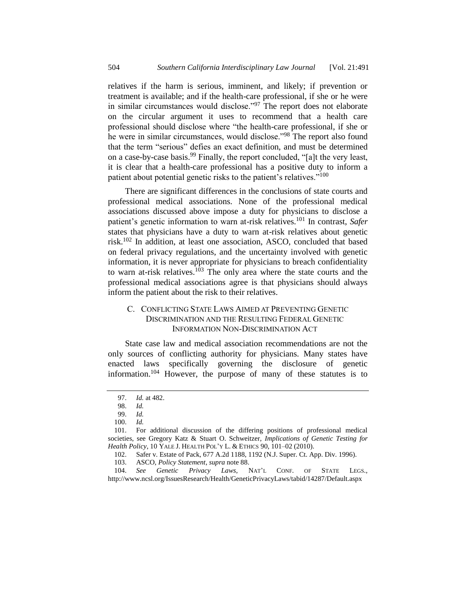relatives if the harm is serious, imminent, and likely; if prevention or treatment is available; and if the health-care professional, if she or he were in similar circumstances would disclose."<sup>97</sup> The report does not elaborate on the circular argument it uses to recommend that a health care professional should disclose where "the health-care professional, if she or he were in similar circumstances, would disclose."<sup>98</sup> The report also found that the term "serious" defies an exact definition, and must be determined on a case-by-case basis.<sup>99</sup> Finally, the report concluded, "[a]t the very least, it is clear that a health-care professional has a positive duty to inform a patient about potential genetic risks to the patient's relatives."<sup>100</sup>

<span id="page-13-0"></span>There are significant differences in the conclusions of state courts and professional medical associations. None of the professional medical associations discussed above impose a duty for physicians to disclose a patient's genetic information to warn at-risk relatives.<sup>101</sup> In contrast, *Safer* states that physicians have a duty to warn at-risk relatives about genetic risk.<sup>102</sup> In addition, at least one association, ASCO, concluded that based on federal privacy regulations, and the uncertainty involved with genetic information, it is never appropriate for physicians to breach confidentiality to warn at-risk relatives.<sup>103</sup> The only area where the state courts and the professional medical associations agree is that physicians should always inform the patient about the risk to their relatives.

# C. CONFLICTING STATE LAWS AIMED AT PREVENTING GENETIC DISCRIMINATION AND THE RESULTING FEDERAL GENETIC INFORMATION NON-DISCRIMINATION ACT

State case law and medical association recommendations are not the only sources of conflicting authority for physicians. Many states have enacted laws specifically governing the disclosure of genetic information.<sup>104</sup> However, the purpose of many of these statutes is to

<sup>97.</sup> *Id.* at 482.

<sup>98.</sup> *Id.*

<sup>99.</sup> *Id.*

<sup>100.</sup> *Id.*

<sup>101.</sup> For additional discussion of the differing positions of professional medical societies, see Gregory Katz & Stuart O. Schweitzer, *Implications of Genetic Testing for Health Policy*, 10 YALE J. HEALTH POL'Y L. & ETHICS 90, 101–02 (2010).

<sup>102.</sup> Safer v. Estate of Pack, 677 A.2d 1188, 1192 (N.J. Super. Ct. App. Div. 1996).

<sup>103.</sup> ASCO, *Policy Statement*, *supra* not[e 88.](#page-11-0)

<sup>104.</sup> *See Genetic Privacy Laws*, NAT'L CONF. OF STATE LEGS., http://www.ncsl.org/IssuesResearch/Health/GeneticPrivacyLaws/tabid/14287/Default.aspx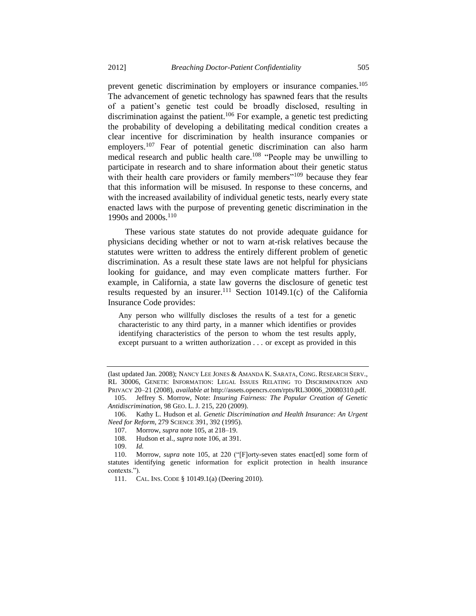<span id="page-14-0"></span>prevent genetic discrimination by employers or insurance companies.<sup>105</sup>

<span id="page-14-1"></span>The advancement of genetic technology has spawned fears that the results of a patient's genetic test could be broadly disclosed, resulting in discrimination against the patient.<sup>106</sup> For example, a genetic test predicting the probability of developing a debilitating medical condition creates a clear incentive for discrimination by health insurance companies or employers.<sup>107</sup> Fear of potential genetic discrimination can also harm medical research and public health care.<sup>108</sup> "People may be unwilling to participate in research and to share information about their genetic status with their health care providers or family members"<sup>109</sup> because they fear that this information will be misused. In response to these concerns, and with the increased availability of individual genetic tests, nearly every state enacted laws with the purpose of preventing genetic discrimination in the 1990s and 2000s.<sup>110</sup>

These various state statutes do not provide adequate guidance for physicians deciding whether or not to warn at-risk relatives because the statutes were written to address the entirely different problem of genetic discrimination. As a result these state laws are not helpful for physicians looking for guidance, and may even complicate matters further. For example, in California, a state law governs the disclosure of genetic test results requested by an insurer.<sup>111</sup> Section 10149.1(c) of the California Insurance Code provides:

Any person who willfully discloses the results of a test for a genetic characteristic to any third party, in a manner which identifies or provides identifying characteristics of the person to whom the test results apply, except pursuant to a written authorization . . . or except as provided in this

109. *Id.*

<sup>(</sup>last updated Jan. 2008); NANCY LEE JONES & AMANDA K. SARATA, CONG. RESEARCH SERV., RL 30006, GENETIC INFORMATION: LEGAL ISSUES RELATING TO DISCRIMINATION AND PRIVACY 20–21 (2008), *available at* http://assets.opencrs.com/rpts/RL30006\_20080310.pdf.

<sup>105.</sup> Jeffrey S. Morrow, Note: *Insuring Fairness: The Popular Creation of Genetic Antidiscrimination*, 98 GEO. L. J. 215, 220 (2009).

<sup>106.</sup> Kathy L. Hudson et al. *Genetic Discrimination and Health Insurance: An Urgent Need for Reform*, 279 SCIENCE 391, 392 (1995).

<sup>107.</sup> Morrow, *supra* not[e 105,](#page-14-0) at 218–19.

<sup>108.</sup> Hudson et al.*, supra* note [106,](#page-14-1) at 391.

<sup>110.</sup> Morrow, *supra* note [105,](#page-14-0) at 220 ("[F]orty-seven states enact[ed] some form of statutes identifying genetic information for explicit protection in health insurance contexts.").

<sup>111.</sup> CAL. INS. CODE § 10149.1(a) (Deering 2010).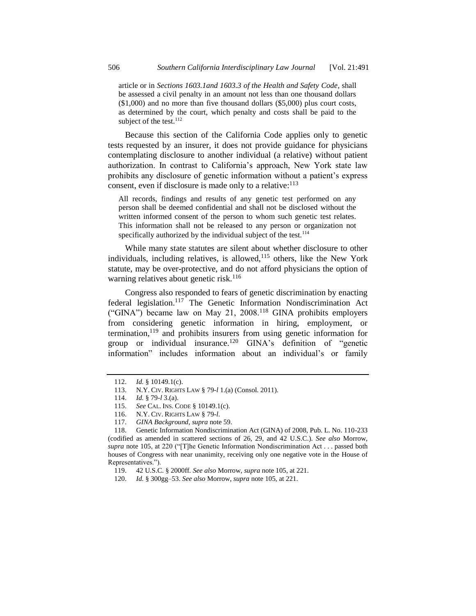article or in *Sections 1603.1and 1603.3 of the Health and Safety Code*, shall be assessed a civil penalty in an amount not less than one thousand dollars (\$1,000) and no more than five thousand dollars (\$5,000) plus court costs, as determined by the court, which penalty and costs shall be paid to the subject of the test. $^{112}$ 

Because this section of the California Code applies only to genetic tests requested by an insurer, it does not provide guidance for physicians contemplating disclosure to another individual (a relative) without patient authorization. In contrast to California's approach, New York state law prohibits any disclosure of genetic information without a patient's express consent, even if disclosure is made only to a relative:<sup>113</sup>

All records, findings and results of any genetic test performed on any person shall be deemed confidential and shall not be disclosed without the written informed consent of the person to whom such genetic test relates. This information shall not be released to any person or organization not specifically authorized by the individual subject of the test.<sup>114</sup>

While many state statutes are silent about whether disclosure to other individuals, including relatives, is allowed, $115$  others, like the New York statute, may be over-protective, and do not afford physicians the option of warning relatives about genetic risk.<sup>116</sup>

Congress also responded to fears of genetic discrimination by enacting federal legislation.<sup>117</sup> The Genetic Information Nondiscrimination Act ("GINA") became law on May 21, 2008.<sup>118</sup> GINA prohibits employers from considering genetic information in hiring, employment, or termination, $119$  and prohibits insurers from using genetic information for group or individual insurance.<sup>120</sup> GINA's definition of "genetic information" includes information about an individual's or family

<sup>112.</sup> *Id.* § 10149.1(c).

<sup>113.</sup> N.Y. CIV. RIGHTS LAW § 79-*l* 1.(a) (Consol. 2011).

<sup>114.</sup> *Id.* § 79-*l* 3.(a).

<sup>115.</sup> *See* CAL. INS. CODE § 10149.1(c).

<sup>116.</sup> N.Y. CIV. RIGHTS LAW § 79-*l*.

<sup>117.</sup> *GINA Background*, *supra* not[e 59.](#page-8-0)

<sup>118.</sup> Genetic Information Nondiscrimination Act (GINA) of 2008, Pub. L. No. 110-233 (codified as amended in scattered sections of 26, 29, and 42 U.S.C.). *See also* Morrow, *supra* note [105,](#page-14-0) at 220 ("[T]he Genetic Information Nondiscrimination Act . . . passed both houses of Congress with near unanimity, receiving only one negative vote in the House of Representatives.").

<sup>119.</sup> 42 U.S.C. § 2000ff. *See also* Morrow, *supra* not[e 105,](#page-14-0) at 221.

<sup>120.</sup> *Id.* § 300gg–53. *See also* Morrow, *supra* note [105,](#page-14-0) at 221.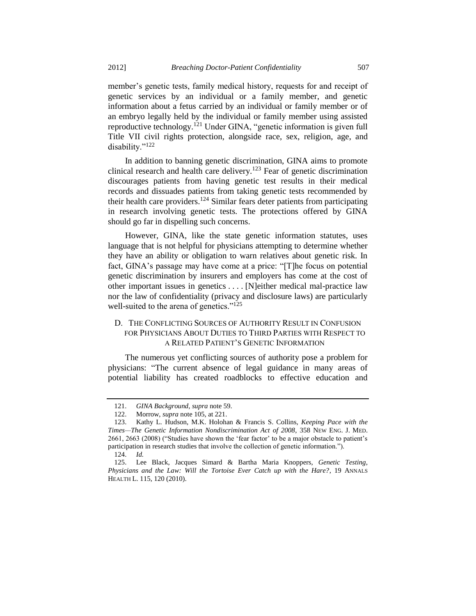member's genetic tests, family medical history, requests for and receipt of genetic services by an individual or a family member, and genetic information about a fetus carried by an individual or family member or of an embryo legally held by the individual or family member using assisted reproductive technology.<sup>121</sup> Under GINA, "genetic information is given full Title VII civil rights protection, alongside race, sex, religion, age, and disability."<sup>122</sup>

In addition to banning genetic discrimination, GINA aims to promote clinical research and health care delivery.<sup>123</sup> Fear of genetic discrimination discourages patients from having genetic test results in their medical records and dissuades patients from taking genetic tests recommended by their health care providers.<sup>124</sup> Similar fears deter patients from participating in research involving genetic tests. The protections offered by GINA should go far in dispelling such concerns.

However, GINA, like the state genetic information statutes, uses language that is not helpful for physicians attempting to determine whether they have an ability or obligation to warn relatives about genetic risk. In fact, GINA's passage may have come at a price: "[T]he focus on potential genetic discrimination by insurers and employers has come at the cost of other important issues in genetics . . . . [N]either medical mal-practice law nor the law of confidentiality (privacy and disclosure laws) are particularly well-suited to the arena of genetics."<sup>125</sup>

# <span id="page-16-0"></span>D. THE CONFLICTING SOURCES OF AUTHORITY RESULT IN CONFUSION FOR PHYSICIANS ABOUT DUTIES TO THIRD PARTIES WITH RESPECT TO A RELATED PATIENT'S GENETIC INFORMATION

The numerous yet conflicting sources of authority pose a problem for physicians: "The current absence of legal guidance in many areas of potential liability has created roadblocks to effective education and

<sup>121.</sup> *GINA Background*, *supra* not[e 59.](#page-8-0) 

<sup>122.</sup> Morrow, *supra* not[e 105,](#page-14-0) at 221.

<sup>123.</sup> Kathy L. Hudson, M.K. Holohan & Francis S. Collins, *Keeping Pace with the Times—The Genetic Information Nondiscrimination Act of 2008*, 358 NEW ENG. J. MED. 2661, 2663 (2008) ("Studies have shown the 'fear factor' to be a major obstacle to patient's participation in research studies that involve the collection of genetic information.").

<sup>124.</sup> *Id.*

<sup>125.</sup> Lee Black, Jacques Simard & Bartha Maria Knoppers, *Genetic Testing, Physicians and the Law: Will the Tortoise Ever Catch up with the Hare?*, 19 ANNALS HEALTH L. 115, 120 (2010).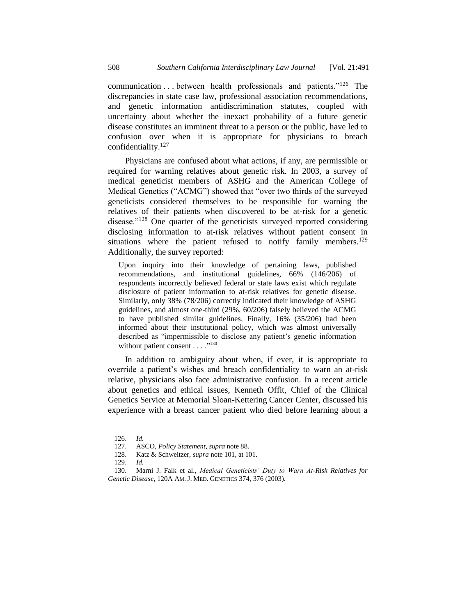communication . . . between health professionals and patients."<sup>126</sup> The discrepancies in state case law, professional association recommendations, and genetic information antidiscrimination statutes, coupled with uncertainty about whether the inexact probability of a future genetic disease constitutes an imminent threat to a person or the public, have led to confusion over when it is appropriate for physicians to breach confidentiality.<sup>127</sup>

Physicians are confused about what actions, if any, are permissible or required for warning relatives about genetic risk. In 2003, a survey of medical geneticist members of ASHG and the American College of Medical Genetics ("ACMG") showed that "over two thirds of the surveyed geneticists considered themselves to be responsible for warning the relatives of their patients when discovered to be at-risk for a genetic disease."<sup>128</sup> One quarter of the geneticists surveyed reported considering disclosing information to at-risk relatives without patient consent in situations where the patient refused to notify family members.<sup>129</sup> Additionally, the survey reported:

Upon inquiry into their knowledge of pertaining laws, published recommendations, and institutional guidelines, 66% (146/206) of respondents incorrectly believed federal or state laws exist which regulate disclosure of patient information to at-risk relatives for genetic disease. Similarly, only 38% (78/206) correctly indicated their knowledge of ASHG guidelines, and almost one-third (29%, 60/206) falsely believed the ACMG to have published similar guidelines. Finally, 16% (35/206) had been informed about their institutional policy, which was almost universally described as "impermissible to disclose any patient's genetic information without patient consent . . . ."<sup>130</sup>

<span id="page-17-0"></span>In addition to ambiguity about when, if ever, it is appropriate to override a patient's wishes and breach confidentiality to warn an at-risk relative, physicians also face administrative confusion. In a recent article about genetics and ethical issues, Kenneth Offit, Chief of the Clinical Genetics Service at Memorial Sloan-Kettering Cancer Center, discussed his experience with a breast cancer patient who died before learning about a

<sup>126.</sup> *Id.*

<sup>127.</sup> ASCO, *Policy Statement*, *supra* not[e 88.](#page-11-0)

<sup>128.</sup> Katz & Schweitzer, *supra* not[e 101,](#page-13-0) at 101.

<sup>129.</sup> *Id.*

<sup>130.</sup> Marni J. Falk et al., *Medical Geneticists' Duty to Warn At-Risk Relatives for Genetic Disease*, 120A AM. J. MED. GENETICS 374, 376 (2003).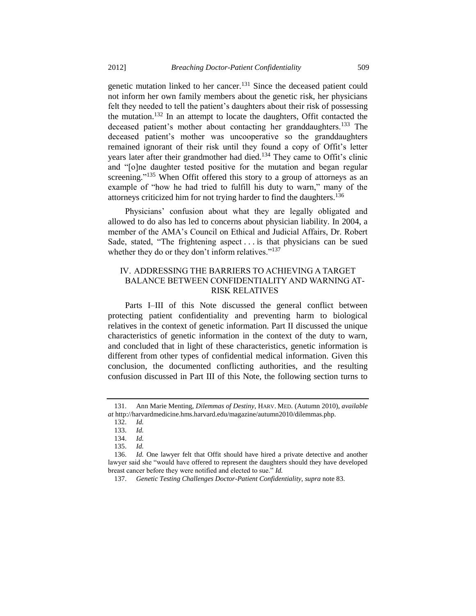<span id="page-18-0"></span>genetic mutation linked to her cancer.<sup>131</sup> Since the deceased patient could not inform her own family members about the genetic risk, her physicians felt they needed to tell the patient's daughters about their risk of possessing the mutation.<sup>132</sup> In an attempt to locate the daughters, Offit contacted the deceased patient's mother about contacting her granddaughters.<sup>133</sup> The deceased patient's mother was uncooperative so the granddaughters remained ignorant of their risk until they found a copy of Offit's letter years later after their grandmother had died.<sup>134</sup> They came to Offit's clinic and "[o]ne daughter tested positive for the mutation and began regular screening."<sup>135</sup> When Offit offered this story to a group of attorneys as an example of "how he had tried to fulfill his duty to warn," many of the attorneys criticized him for not trying harder to find the daughters.<sup>136</sup>

Physicians' confusion about what they are legally obligated and allowed to do also has led to concerns about physician liability. In 2004, a member of the AMA's Council on Ethical and Judicial Affairs, Dr. Robert Sade, stated, "The frightening aspect . . . is that physicians can be sued whether they do or they don't inform relatives."<sup>137</sup>

# IV. ADDRESSING THE BARRIERS TO ACHIEVING A TARGET BALANCE BETWEEN CONFIDENTIALITY AND WARNING AT-RISK RELATIVES

Parts I–III of this Note discussed the general conflict between protecting patient confidentiality and preventing harm to biological relatives in the context of genetic information. Part II discussed the unique characteristics of genetic information in the context of the duty to warn, and concluded that in light of these characteristics, genetic information is different from other types of confidential medical information. Given this conclusion, the documented conflicting authorities, and the resulting confusion discussed in Part III of this Note, the following section turns to

<sup>131.</sup> Ann Marie Menting, *Dilemmas of Destiny*, HARV. MED. (Autumn 2010), *available at* http://harvardmedicine.hms.harvard.edu/magazine/autumn2010/dilemmas.php.

<sup>132.</sup> *Id.*

<sup>133.</sup> *Id.*

<sup>134.</sup> *Id.*

<sup>135.</sup> *Id.*

<sup>136.</sup> *Id.* One lawyer felt that Offit should have hired a private detective and another lawyer said she "would have offered to represent the daughters should they have developed breast cancer before they were notified and elected to sue." *Id.*

<sup>137.</sup> *Genetic Testing Challenges Doctor-Patient Confidentiality*, *supra* not[e 83.](#page-10-0)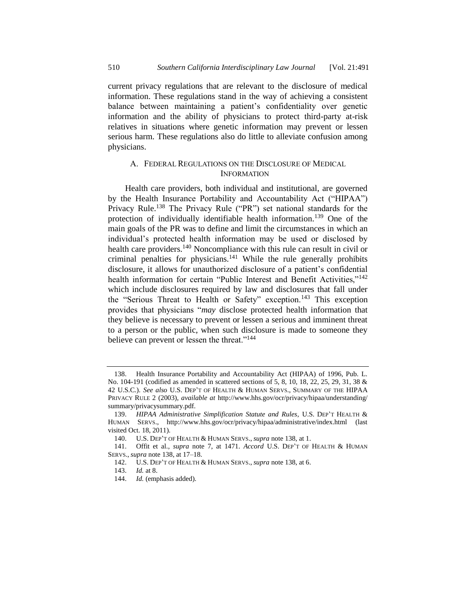current privacy regulations that are relevant to the disclosure of medical information. These regulations stand in the way of achieving a consistent balance between maintaining a patient's confidentiality over genetic information and the ability of physicians to protect third-party at-risk relatives in situations where genetic information may prevent or lessen serious harm. These regulations also do little to alleviate confusion among physicians.

# <span id="page-19-0"></span>A. FEDERAL REGULATIONS ON THE DISCLOSURE OF MEDICAL INFORMATION

Health care providers, both individual and institutional, are governed by the Health Insurance Portability and Accountability Act ("HIPAA") Privacy Rule.<sup>138</sup> The Privacy Rule ("PR") set national standards for the protection of individually identifiable health information.<sup>139</sup> One of the main goals of the PR was to define and limit the circumstances in which an individual's protected health information may be used or disclosed by health care providers.<sup>140</sup> Noncompliance with this rule can result in civil or criminal penalties for physicians.<sup>141</sup> While the rule generally prohibits disclosure, it allows for unauthorized disclosure of a patient's confidential health information for certain "Public Interest and Benefit Activities,"<sup>142</sup> which include disclosures required by law and disclosures that fall under the "Serious Threat to Health or Safety" exception.<sup>143</sup> This exception provides that physicians "*may* disclose protected health information that they believe is necessary to prevent or lessen a serious and imminent threat to a person or the public, when such disclosure is made to someone they believe can prevent or lessen the threat."<sup>144</sup>

<sup>138.</sup> Health Insurance Portability and Accountability Act (HIPAA) of 1996, Pub. L. No. 104-191 (codified as amended in scattered sections of 5, 8, 10, 18, 22, 25, 29, 31, 38 & 42 U.S.C.). *See also* U.S. DEP'T OF HEALTH & HUMAN SERVS., SUMMARY OF THE HIPAA PRIVACY RULE 2 (2003), *available at* http://www.hhs.gov/ocr/privacy/hipaa/understanding/ summary/privacysummary.pdf.

<sup>139.</sup> *HIPAA Administrative Simplification Statute and Rules*, U.S. DEP'T HEALTH & HUMAN SERVS., http://www.hhs.gov/ocr/privacy/hipaa/administrative/index.html (last visited Oct. 18, 2011).

<sup>140.</sup> U.S. DEP'T OF HEALTH & HUMAN SERVS., *supra* not[e 138,](#page-19-0) at 1.

<sup>141.</sup> Offit et al., *supra* note [7,](#page-1-1) at 1471. *Accord* U.S. DEP'T OF HEALTH & HUMAN SERVS., *supra* not[e 138,](#page-19-0) at 17–18.

<sup>142.</sup> U.S. DEP'T OF HEALTH & HUMAN SERVS., *supra* not[e 138,](#page-19-0) at 6.

<sup>143.</sup> *Id.* at 8.

<sup>144.</sup> *Id.* (emphasis added).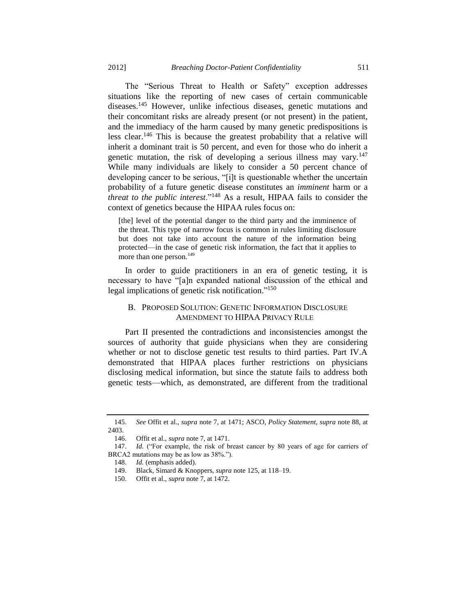The "Serious Threat to Health or Safety" exception addresses situations like the reporting of new cases of certain communicable diseases.<sup>145</sup> However, unlike infectious diseases, genetic mutations and their concomitant risks are already present (or not present) in the patient, and the immediacy of the harm caused by many genetic predispositions is less clear.<sup>146</sup> This is because the greatest probability that a relative will inherit a dominant trait is 50 percent, and even for those who do inherit a genetic mutation, the risk of developing a serious illness may vary.<sup>147</sup> While many individuals are likely to consider a 50 percent chance of developing cancer to be serious, "[i]t is questionable whether the uncertain probability of a future genetic disease constitutes an *imminent* harm or a *threat to the public interest*."<sup>148</sup> As a result, HIPAA fails to consider the context of genetics because the HIPAA rules focus on:

[the] level of the potential danger to the third party and the imminence of the threat. This type of narrow focus is common in rules limiting disclosure but does not take into account the nature of the information being protected—in the case of genetic risk information, the fact that it applies to more than one person.<sup>149</sup>

In order to guide practitioners in an era of genetic testing, it is necessary to have "[a]n expanded national discussion of the ethical and legal implications of genetic risk notification."<sup>150</sup>

# B. PROPOSED SOLUTION: GENETIC INFORMATION DISCLOSURE AMENDMENT TO HIPAA PRIVACY RULE

Part II presented the contradictions and inconsistencies amongst the sources of authority that guide physicians when they are considering whether or not to disclose genetic test results to third parties. Part IV.A demonstrated that HIPAA places further restrictions on physicians disclosing medical information, but since the statute fails to address both genetic tests—which, as demonstrated, are different from the traditional

<sup>145.</sup> *See* Offit et al., *supra* not[e 7,](#page-1-1) at 1471; ASCO, *Policy Statement*, *supra* not[e 88,](#page-11-0) at 2403.

<sup>146.</sup> Offit et al., *supra* not[e 7,](#page-1-1) at 1471.

<sup>147.</sup> *Id.* ("For example, the risk of breast cancer by 80 years of age for carriers of BRCA2 mutations may be as low as 38%.").

<sup>148.</sup> *Id.* (emphasis added).

<sup>149.</sup> Black, Simard & Knoppers, *supra* not[e 125,](#page-16-0) at 118–19.

<sup>150.</sup> Offit et al., *supra* not[e 7,](#page-1-1) at 1472.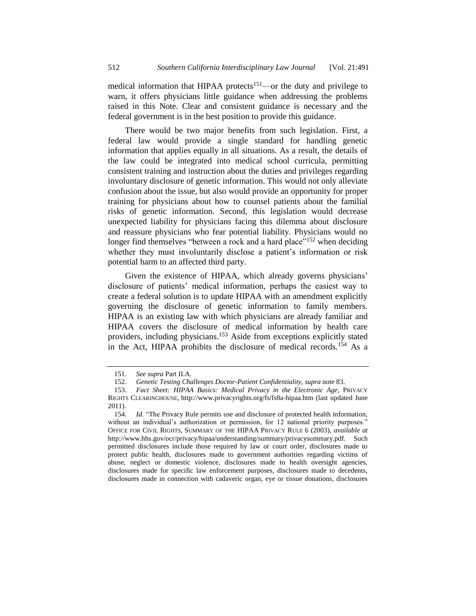medical information that HIPAA protects<sup>151</sup>—or the duty and privilege to warn, it offers physicians little guidance when addressing the problems raised in this Note. Clear and consistent guidance is necessary and the federal government is in the best position to provide this guidance.

There would be two major benefits from such legislation. First, a federal law would provide a single standard for handling genetic information that applies equally in all situations. As a result, the details of the law could be integrated into medical school curricula, permitting consistent training and instruction about the duties and privileges regarding involuntary disclosure of genetic information. This would not only alleviate confusion about the issue, but also would provide an opportunity for proper training for physicians about how to counsel patients about the familial risks of genetic information. Second, this legislation would decrease unexpected liability for physicians facing this dilemma about disclosure and reassure physicians who fear potential liability. Physicians would no longer find themselves "between a rock and a hard place"<sup>152</sup> when deciding whether they must involuntarily disclose a patient's information or risk potential harm to an affected third party.

Given the existence of HIPAA, which already governs physicians' disclosure of patients' medical information, perhaps the easiest way to create a federal solution is to update HIPAA with an amendment explicitly governing the disclosure of genetic information to family members. HIPAA is an existing law with which physicians are already familiar and HIPAA covers the disclosure of medical information by health care providers, including physicians.<sup>153</sup> Aside from exceptions explicitly stated in the Act, HIPAA prohibits the disclosure of medical records.<sup>154</sup> As a

<sup>151.</sup> *See supra* Part II.A.

<sup>152.</sup> *Genetic Testing Challenges Doctor-Patient Confidentiality*, *supra* not[e 83.](#page-10-0)

<sup>153.</sup> *Fact Sheet: HIPAA Basics: Medical Privacy in the Electronic Age*, PRIVACY RIGHTS CLEARINGHOUSE, http://www.privacyrights.org/fs/fs8a-hipaa.htm (last updated June 2011).

<sup>154.</sup> *Id.* "The Privacy Rule permits use and disclosure of protected health information, without an individual's authorization or permission, for 12 national priority purposes." OFFICE FOR CIVIL RIGHTS, SUMMARY OF THE HIPAA PRIVACY RULE 6 (2003), *available at*  http://www.hhs.gov/ocr/privacy/hipaa/understanding/summary/privacysummary.pdf*.* Such permitted disclosures include those required by law or court order, disclosures made to protect public health, disclosures made to government authorities regarding victims of abuse, neglect or domestic violence, disclosures made to health oversight agencies, disclosures made for specific law enforcement purposes, disclosures made to decedents, disclosures made in connection with cadaveric organ, eye or tissue donations, disclosures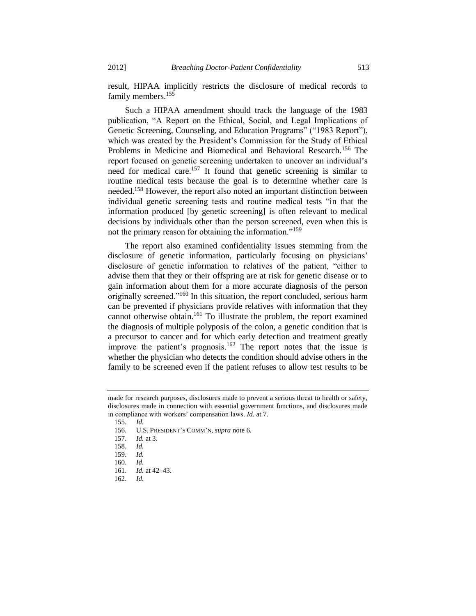result, HIPAA implicitly restricts the disclosure of medical records to family members.<sup>155</sup>

Such a HIPAA amendment should track the language of the 1983 publication, "A Report on the Ethical, Social, and Legal Implications of Genetic Screening, Counseling, and Education Programs" ("1983 Report"), which was created by the President's Commission for the Study of Ethical Problems in Medicine and Biomedical and Behavioral Research.<sup>156</sup> The report focused on genetic screening undertaken to uncover an individual's need for medical care.<sup>157</sup> It found that genetic screening is similar to routine medical tests because the goal is to determine whether care is needed.<sup>158</sup> However, the report also noted an important distinction between individual genetic screening tests and routine medical tests "in that the information produced [by genetic screening] is often relevant to medical decisions by individuals other than the person screened, even when this is not the primary reason for obtaining the information."<sup>159</sup>

The report also examined confidentiality issues stemming from the disclosure of genetic information, particularly focusing on physicians' disclosure of genetic information to relatives of the patient, "either to advise them that they or their offspring are at risk for genetic disease or to gain information about them for a more accurate diagnosis of the person originally screened."<sup>160</sup> In this situation, the report concluded, serious harm can be prevented if physicians provide relatives with information that they cannot otherwise obtain.<sup>161</sup> To illustrate the problem, the report examined the diagnosis of multiple polyposis of the colon, a genetic condition that is a precursor to cancer and for which early detection and treatment greatly improve the patient's prognosis.<sup>162</sup> The report notes that the issue is whether the physician who detects the condition should advise others in the family to be screened even if the patient refuses to allow test results to be

<span id="page-22-0"></span>made for research purposes, disclosures made to prevent a serious threat to health or safety, disclosures made in connection with essential government functions, and disclosures made in compliance with workers' compensation laws. *Id.* at 7.

<sup>155.</sup> *Id.*

<sup>156.</sup> U.S. PRESIDENT'S COMM'N, *supra* note [6.](#page-1-2)

<sup>157.</sup> *Id.* at 3.

<sup>158.</sup> *Id.*

<sup>159.</sup> *Id.*

<sup>160.</sup> *Id.*

<sup>161.</sup> *Id.* at 42–43.

<sup>162.</sup> *Id.*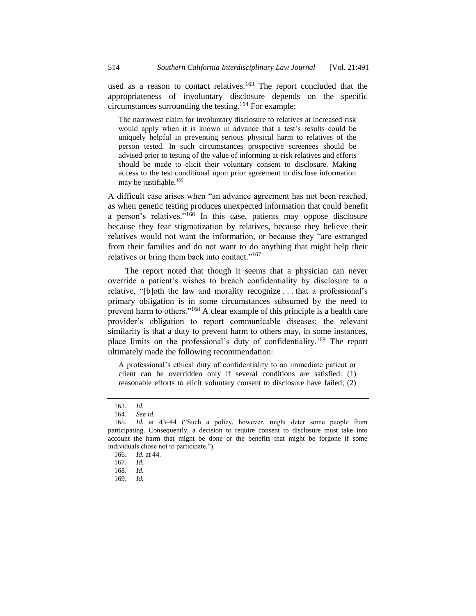used as a reason to contact relatives.<sup>163</sup> The report concluded that the appropriateness of involuntary disclosure depends on the specific circumstances surrounding the testing.<sup>164</sup> For example:

<span id="page-23-0"></span>The narrowest claim for involuntary disclosure to relatives at increased risk would apply when it is known in advance that a test's results could be uniquely helpful in preventing serious physical harm to relatives of the person tested. In such circumstances prospective screenees should be advised prior to testing of the value of informing at-risk relatives and efforts should be made to elicit their voluntary consent to disclosure. Making access to the test conditional upon prior agreement to disclose information may be justifiable.<sup>165</sup>

A difficult case arises when "an advance agreement has not been reached, as when genetic testing produces unexpected information that could benefit a person's relatives."<sup>166</sup> In this case, patients may oppose disclosure because they fear stigmatization by relatives, because they believe their relatives would not want the information, or because they "are estranged from their families and do not want to do anything that might help their relatives or bring them back into contact."<sup>167</sup>

The report noted that though it seems that a physician can never override a patient's wishes to breach confidentiality by disclosure to a relative, "[b]oth the law and morality recognize . . . that a professional's primary obligation is in some circumstances subsumed by the need to prevent harm to others."<sup>168</sup> A clear example of this principle is a health care provider's obligation to report communicable diseases; the relevant similarity is that a duty to prevent harm to others may, in some instances, place limits on the professional's duty of confidentiality.<sup>169</sup> The report ultimately made the following recommendation:

A professional's ethical duty of confidentiality to an immediate patient or client can be overridden only if several conditions are satisfied: (1) reasonable efforts to elicit voluntary consent to disclosure have failed; (2)

<sup>163.</sup> *Id.*

<sup>164.</sup> *See id.*

<sup>165.</sup> *Id.* at 43–44 ("Such a policy, however, might deter some people from participating. Consequently, a decision to require consent to disclosure must take into account the harm that might be done or the benefits that might be forgone if some individuals chose not to participate.").

<sup>166.</sup> *Id.* at 44.

<sup>167.</sup> *Id.*

<sup>168.</sup> *Id.*

<sup>169.</sup> *Id.*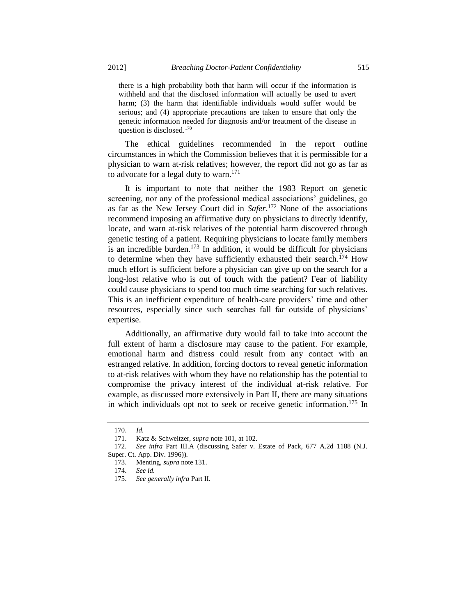there is a high probability both that harm will occur if the information is withheld and that the disclosed information will actually be used to avert harm; (3) the harm that identifiable individuals would suffer would be serious; and (4) appropriate precautions are taken to ensure that only the genetic information needed for diagnosis and/or treatment of the disease in question is disclosed.<sup>170</sup>

The ethical guidelines recommended in the report outline circumstances in which the Commission believes that it is permissible for a physician to warn at-risk relatives; however, the report did not go as far as to advocate for a legal duty to warn.<sup>171</sup>

It is important to note that neither the 1983 Report on genetic screening, nor any of the professional medical associations' guidelines, go as far as the New Jersey Court did in *Safer*. <sup>172</sup> None of the associations recommend imposing an affirmative duty on physicians to directly identify, locate, and warn at-risk relatives of the potential harm discovered through genetic testing of a patient. Requiring physicians to locate family members is an incredible burden.<sup>173</sup> In addition, it would be difficult for physicians to determine when they have sufficiently exhausted their search.<sup>174</sup> How much effort is sufficient before a physician can give up on the search for a long-lost relative who is out of touch with the patient? Fear of liability could cause physicians to spend too much time searching for such relatives. This is an inefficient expenditure of health-care providers' time and other resources, especially since such searches fall far outside of physicians' expertise.

Additionally, an affirmative duty would fail to take into account the full extent of harm a disclosure may cause to the patient. For example, emotional harm and distress could result from any contact with an estranged relative. In addition, forcing doctors to reveal genetic information to at-risk relatives with whom they have no relationship has the potential to compromise the privacy interest of the individual at-risk relative. For example, as discussed more extensively in Part II, there are many situations in which individuals opt not to seek or receive genetic information.<sup>175</sup> In

<sup>170.</sup> *Id.*

<sup>171.</sup> Katz & Schweitzer, *supra* not[e 101,](#page-13-0) at 102.

<sup>172.</sup> *See infra* Part III.A (discussing Safer v. Estate of Pack, 677 A.2d 1188 (N.J. Super. Ct. App. Div. 1996)).

<sup>173.</sup> Menting, *supra* not[e 131.](#page-18-0)

<sup>174.</sup> *See id.*

<sup>175.</sup> *See generally infra* Part II.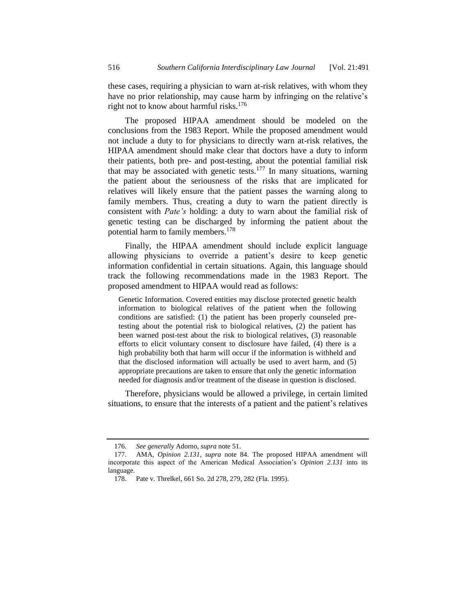these cases, requiring a physician to warn at-risk relatives, with whom they have no prior relationship, may cause harm by infringing on the relative's right not to know about harmful risks.<sup>176</sup>

The proposed HIPAA amendment should be modeled on the conclusions from the 1983 Report. While the proposed amendment would not include a duty to for physicians to directly warn at-risk relatives, the HIPAA amendment should make clear that doctors have a duty to inform their patients, both pre- and post-testing, about the potential familial risk that may be associated with genetic tests. $177$  In many situations, warning the patient about the seriousness of the risks that are implicated for relatives will likely ensure that the patient passes the warning along to family members. Thus, creating a duty to warn the patient directly is consistent with *Pate's* holding: a duty to warn about the familial risk of genetic testing can be discharged by informing the patient about the potential harm to family members.<sup>178</sup>

Finally, the HIPAA amendment should include explicit language allowing physicians to override a patient's desire to keep genetic information confidential in certain situations. Again, this language should track the following recommendations made in the 1983 Report. The proposed amendment to HIPAA would read as follows:

Genetic Information. Covered entities may disclose protected genetic health information to biological relatives of the patient when the following conditions are satisfied: (1) the patient has been properly counseled pretesting about the potential risk to biological relatives, (2) the patient has been warned post-test about the risk to biological relatives, (3) reasonable efforts to elicit voluntary consent to disclosure have failed, (4) there is a high probability both that harm will occur if the information is withheld and that the disclosed information will actually be used to avert harm, and (5) appropriate precautions are taken to ensure that only the genetic information needed for diagnosis and/or treatment of the disease in question is disclosed.

Therefore, physicians would be allowed a privilege, in certain limited situations, to ensure that the interests of a patient and the patient's relatives

<sup>176</sup>*. See generally* Adorno, *supra* not[e 51.](#page-7-0)

<sup>177.</sup> AMA, *Opinion 2.131*, *supra* note [84.](#page-11-1) The proposed HIPAA amendment will incorporate this aspect of the American Medical Association's *Opinion 2.131* into its language.

<sup>178.</sup> Pate v. Threlkel, 661 So. 2d 278, 279, 282 (Fla. 1995).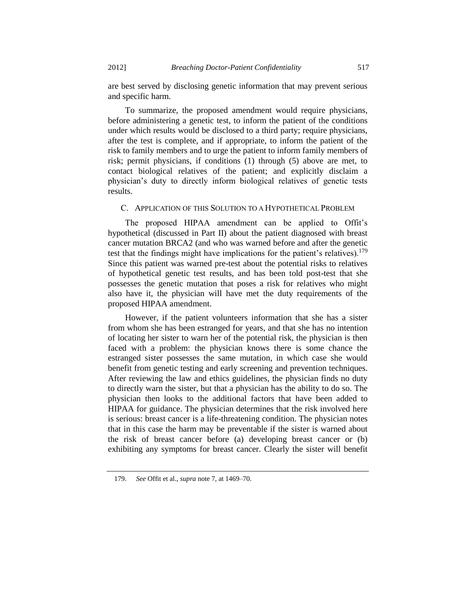are best served by disclosing genetic information that may prevent serious and specific harm.

To summarize, the proposed amendment would require physicians, before administering a genetic test, to inform the patient of the conditions under which results would be disclosed to a third party; require physicians, after the test is complete, and if appropriate, to inform the patient of the risk to family members and to urge the patient to inform family members of risk; permit physicians, if conditions (1) through (5) above are met, to contact biological relatives of the patient; and explicitly disclaim a physician's duty to directly inform biological relatives of genetic tests results.

## C. APPLICATION OF THIS SOLUTION TO A HYPOTHETICAL PROBLEM

The proposed HIPAA amendment can be applied to Offit's hypothetical (discussed in Part II) about the patient diagnosed with breast cancer mutation BRCA2 (and who was warned before and after the genetic test that the findings might have implications for the patient's relatives).<sup>179</sup> Since this patient was warned pre-test about the potential risks to relatives of hypothetical genetic test results, and has been told post-test that she possesses the genetic mutation that poses a risk for relatives who might also have it, the physician will have met the duty requirements of the proposed HIPAA amendment.

However, if the patient volunteers information that she has a sister from whom she has been estranged for years, and that she has no intention of locating her sister to warn her of the potential risk, the physician is then faced with a problem: the physician knows there is some chance the estranged sister possesses the same mutation, in which case she would benefit from genetic testing and early screening and prevention techniques. After reviewing the law and ethics guidelines, the physician finds no duty to directly warn the sister, but that a physician has the ability to do so. The physician then looks to the additional factors that have been added to HIPAA for guidance. The physician determines that the risk involved here is serious: breast cancer is a life-threatening condition. The physician notes that in this case the harm may be preventable if the sister is warned about the risk of breast cancer before (a) developing breast cancer or (b) exhibiting any symptoms for breast cancer. Clearly the sister will benefit

<sup>179.</sup> *See* Offit et al., *supra* not[e 7,](#page-1-1) at 1469–70.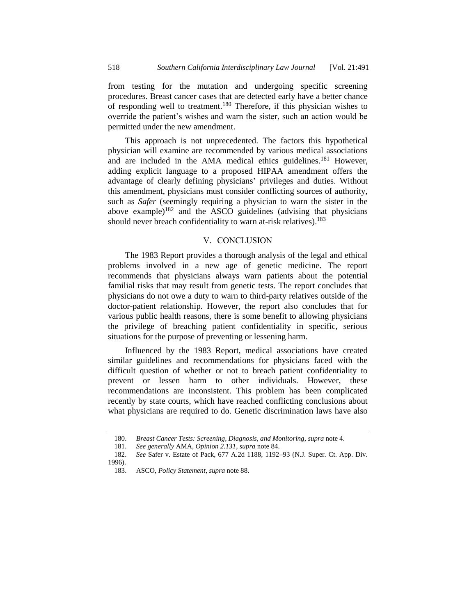from testing for the mutation and undergoing specific screening procedures. Breast cancer cases that are detected early have a better chance of responding well to treatment.<sup>180</sup> Therefore, if this physician wishes to override the patient's wishes and warn the sister, such an action would be permitted under the new amendment.

This approach is not unprecedented. The factors this hypothetical physician will examine are recommended by various medical associations and are included in the AMA medical ethics guidelines.<sup>181</sup> However, adding explicit language to a proposed HIPAA amendment offers the advantage of clearly defining physicians' privileges and duties. Without this amendment, physicians must consider conflicting sources of authority, such as *Safer* (seemingly requiring a physician to warn the sister in the above example)<sup>182</sup> and the ASCO guidelines (advising that physicians should never breach confidentiality to warn at-risk relatives).<sup>183</sup>

#### V. CONCLUSION

The 1983 Report provides a thorough analysis of the legal and ethical problems involved in a new age of genetic medicine. The report recommends that physicians always warn patients about the potential familial risks that may result from genetic tests. The report concludes that physicians do not owe a duty to warn to third-party relatives outside of the doctor-patient relationship. However, the report also concludes that for various public health reasons, there is some benefit to allowing physicians the privilege of breaching patient confidentiality in specific, serious situations for the purpose of preventing or lessening harm.

Influenced by the 1983 Report, medical associations have created similar guidelines and recommendations for physicians faced with the difficult question of whether or not to breach patient confidentiality to prevent or lessen harm to other individuals. However, these recommendations are inconsistent. This problem has been complicated recently by state courts, which have reached conflicting conclusions about what physicians are required to do. Genetic discrimination laws have also

<sup>180.</sup> *Breast Cancer Tests: Screening, Diagnosis, and Monitoring*, *supra* not[e 4.](#page-1-0)

<sup>181.</sup> *See generally* AMA, *Opinion 2.131*, *supra* not[e 84.](#page-11-1)

<sup>182.</sup> *See* Safer v. Estate of Pack, 677 A.2d 1188, 1192–93 (N.J. Super. Ct. App. Div. 1996).

<sup>183.</sup> ASCO, *Policy Statement*, *supra* not[e 88.](#page-11-0)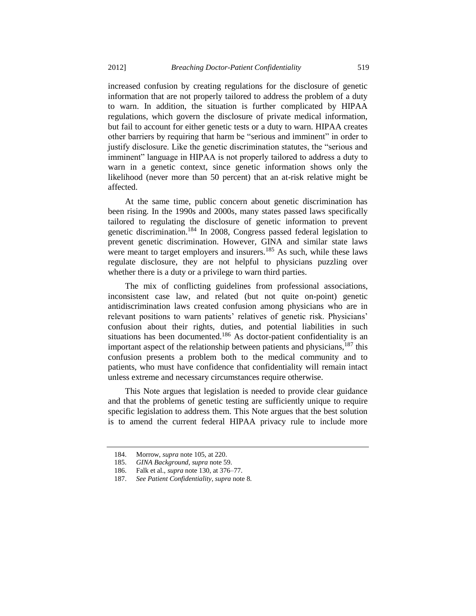increased confusion by creating regulations for the disclosure of genetic information that are not properly tailored to address the problem of a duty to warn. In addition, the situation is further complicated by HIPAA regulations, which govern the disclosure of private medical information, but fail to account for either genetic tests or a duty to warn. HIPAA creates other barriers by requiring that harm be "serious and imminent" in order to justify disclosure. Like the genetic discrimination statutes, the "serious and imminent" language in HIPAA is not properly tailored to address a duty to warn in a genetic context, since genetic information shows only the likelihood (never more than 50 percent) that an at-risk relative might be affected.

At the same time, public concern about genetic discrimination has been rising. In the 1990s and 2000s, many states passed laws specifically tailored to regulating the disclosure of genetic information to prevent genetic discrimination.<sup>184</sup> In 2008, Congress passed federal legislation to prevent genetic discrimination. However, GINA and similar state laws were meant to target employers and insurers.<sup>185</sup> As such, while these laws regulate disclosure, they are not helpful to physicians puzzling over whether there is a duty or a privilege to warn third parties.

The mix of conflicting guidelines from professional associations, inconsistent case law, and related (but not quite on-point) genetic antidiscrimination laws created confusion among physicians who are in relevant positions to warn patients' relatives of genetic risk. Physicians' confusion about their rights, duties, and potential liabilities in such situations has been documented.<sup>186</sup> As doctor-patient confidentiality is an important aspect of the relationship between patients and physicians, $^{187}$  this confusion presents a problem both to the medical community and to patients, who must have confidence that confidentiality will remain intact unless extreme and necessary circumstances require otherwise.

This Note argues that legislation is needed to provide clear guidance and that the problems of genetic testing are sufficiently unique to require specific legislation to address them. This Note argues that the best solution is to amend the current federal HIPAA privacy rule to include more

<sup>184.</sup> Morrow, *supra* not[e 105,](#page-14-0) at 220.

<sup>185.</sup> *GINA Background*, *supra* not[e 59.](#page-8-0)

<sup>186.</sup> Falk et al., *supra* note [130,](#page-17-0) at 376–77.

<sup>187.</sup> *See Patient Confidentiality*, *supra* not[e 8.](#page-2-0)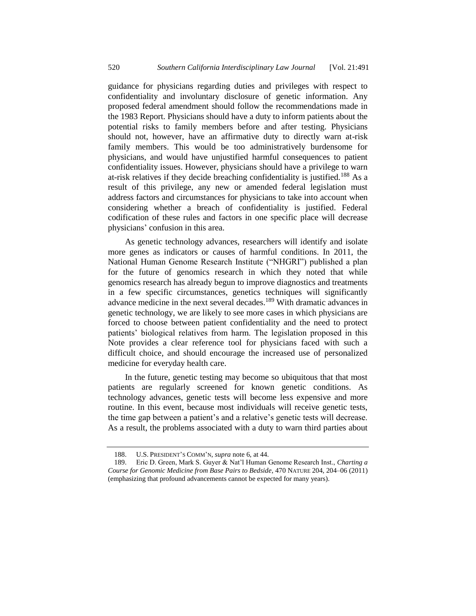guidance for physicians regarding duties and privileges with respect to confidentiality and involuntary disclosure of genetic information. Any proposed federal amendment should follow the recommendations made in the 1983 Report. Physicians should have a duty to inform patients about the potential risks to family members before and after testing. Physicians should not, however, have an affirmative duty to directly warn at-risk family members. This would be too administratively burdensome for physicians, and would have unjustified harmful consequences to patient confidentiality issues. However, physicians should have a privilege to warn at-risk relatives if they decide breaching confidentiality is justified.<sup>188</sup> As a result of this privilege, any new or amended federal legislation must address factors and circumstances for physicians to take into account when considering whether a breach of confidentiality is justified. Federal codification of these rules and factors in one specific place will decrease physicians' confusion in this area.

As genetic technology advances, researchers will identify and isolate more genes as indicators or causes of harmful conditions. In 2011, the National Human Genome Research Institute ("NHGRI") published a plan for the future of genomics research in which they noted that while genomics research has already begun to improve diagnostics and treatments in a few specific circumstances, genetics techniques will significantly advance medicine in the next several decades.<sup>189</sup> With dramatic advances in genetic technology, we are likely to see more cases in which physicians are forced to choose between patient confidentiality and the need to protect patients' biological relatives from harm. The legislation proposed in this Note provides a clear reference tool for physicians faced with such a difficult choice, and should encourage the increased use of personalized medicine for everyday health care.

In the future, genetic testing may become so ubiquitous that that most patients are regularly screened for known genetic conditions. As technology advances, genetic tests will become less expensive and more routine. In this event, because most individuals will receive genetic tests, the time gap between a patient's and a relative's genetic tests will decrease. As a result, the problems associated with a duty to warn third parties about

<sup>188.</sup> U.S. PRESIDENT'S COMM'N, *supra* note [6,](#page-1-2) at 44.

<sup>189.</sup> Eric D. Green, Mark S. Guyer & Nat'l Human Genome Research Inst., *Charting a Course for Genomic Medicine from Base Pairs to Bedside*, 470 NATURE 204, 204–06 (2011) (emphasizing that profound advancements cannot be expected for many years).